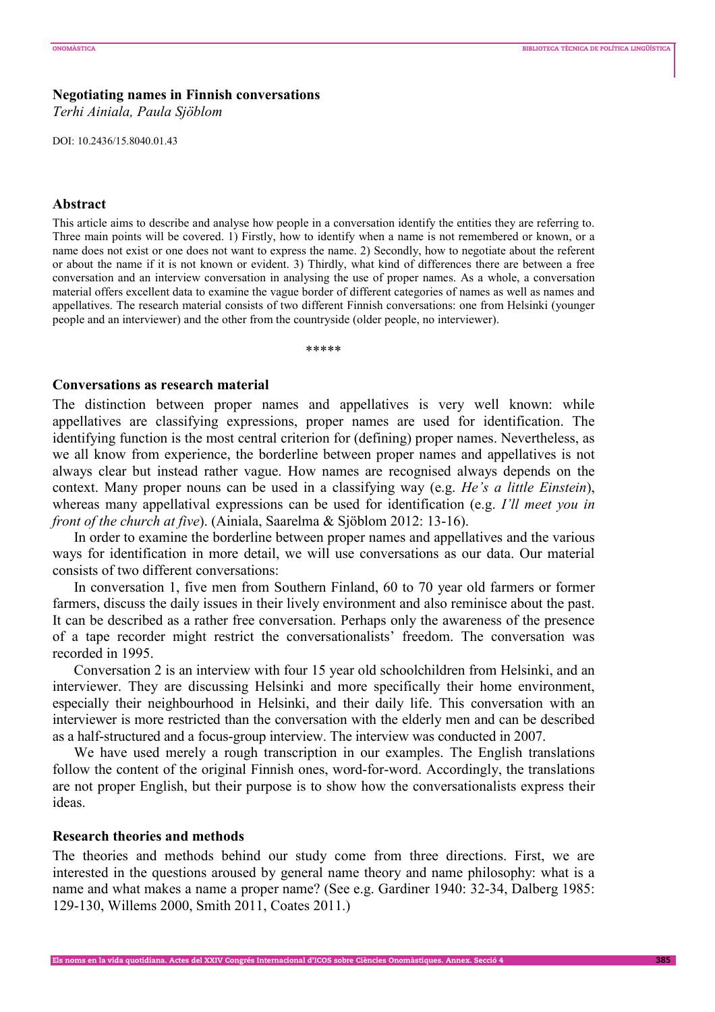# **Negotiating names in Finnish conversations**

*Terhi Ainiala, Paula Sjöblom* 

DOI: 10.2436/15.8040.01.43

### **Abstract**

This article aims to describe and analyse how people in a conversation identify the entities they are referring to. Three main points will be covered. 1) Firstly, how to identify when a name is not remembered or known, or a name does not exist or one does not want to express the name. 2) Secondly, how to negotiate about the referent or about the name if it is not known or evident. 3) Thirdly, what kind of differences there are between a free conversation and an interview conversation in analysing the use of proper names. As a whole, a conversation material offers excellent data to examine the vague border of different categories of names as well as names and appellatives. The research material consists of two different Finnish conversations: one from Helsinki (younger people and an interviewer) and the other from the countryside (older people, no interviewer).

\*\*\*\*\*

#### **Conversations as research material**

The distinction between proper names and appellatives is very well known: while appellatives are classifying expressions, proper names are used for identification. The identifying function is the most central criterion for (defining) proper names. Nevertheless, as we all know from experience, the borderline between proper names and appellatives is not always clear but instead rather vague. How names are recognised always depends on the context. Many proper nouns can be used in a classifying way (e.g. *He's a little Einstein*), whereas many appellatival expressions can be used for identification (e.g. *I'll meet you in front of the church at five*). (Ainiala, Saarelma & Sjöblom 2012: 13-16).

In order to examine the borderline between proper names and appellatives and the various ways for identification in more detail, we will use conversations as our data. Our material consists of two different conversations:

In conversation 1, five men from Southern Finland, 60 to 70 year old farmers or former farmers, discuss the daily issues in their lively environment and also reminisce about the past. It can be described as a rather free conversation. Perhaps only the awareness of the presence of a tape recorder might restrict the conversationalists' freedom. The conversation was recorded in 1995.

Conversation 2 is an interview with four 15 year old schoolchildren from Helsinki, and an interviewer. They are discussing Helsinki and more specifically their home environment, especially their neighbourhood in Helsinki, and their daily life. This conversation with an interviewer is more restricted than the conversation with the elderly men and can be described as a half-structured and a focus-group interview. The interview was conducted in 2007.

We have used merely a rough transcription in our examples. The English translations follow the content of the original Finnish ones, word-for-word. Accordingly, the translations are not proper English, but their purpose is to show how the conversationalists express their ideas.

### **Research theories and methods**

The theories and methods behind our study come from three directions. First, we are interested in the questions aroused by general name theory and name philosophy: what is a name and what makes a name a proper name? (See e.g. Gardiner 1940: 32-34, Dalberg 1985: 129-130, Willems 2000, Smith 2011, Coates 2011.)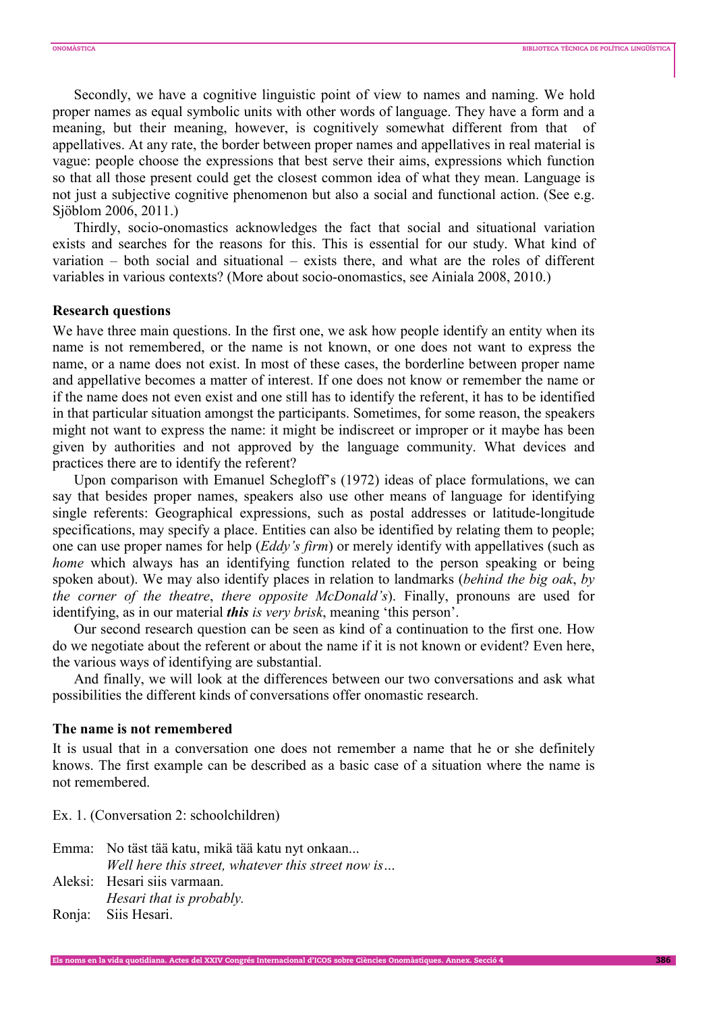Secondly, we have a cognitive linguistic point of view to names and naming. We hold proper names as equal symbolic units with other words of language. They have a form and a meaning, but their meaning, however, is cognitively somewhat different from that of appellatives. At any rate, the border between proper names and appellatives in real material is vague: people choose the expressions that best serve their aims, expressions which function so that all those present could get the closest common idea of what they mean. Language is not just a subjective cognitive phenomenon but also a social and functional action. (See e.g. Sjöblom 2006, 2011.)

Thirdly, socio-onomastics acknowledges the fact that social and situational variation exists and searches for the reasons for this. This is essential for our study. What kind of variation – both social and situational – exists there, and what are the roles of different variables in various contexts? (More about socio-onomastics, see Ainiala 2008, 2010.)

# **Research questions**

We have three main questions. In the first one, we ask how people identify an entity when its name is not remembered, or the name is not known, or one does not want to express the name, or a name does not exist. In most of these cases, the borderline between proper name and appellative becomes a matter of interest. If one does not know or remember the name or if the name does not even exist and one still has to identify the referent, it has to be identified in that particular situation amongst the participants. Sometimes, for some reason, the speakers might not want to express the name: it might be indiscreet or improper or it maybe has been given by authorities and not approved by the language community. What devices and practices there are to identify the referent?

Upon comparison with Emanuel Schegloff's (1972) ideas of place formulations, we can say that besides proper names, speakers also use other means of language for identifying single referents: Geographical expressions, such as postal addresses or latitude-longitude specifications, may specify a place. Entities can also be identified by relating them to people; one can use proper names for help (*Eddy's firm*) or merely identify with appellatives (such as *home* which always has an identifying function related to the person speaking or being spoken about). We may also identify places in relation to landmarks (*behind the big oak*, *by the corner of the theatre*, *there opposite McDonald's*). Finally, pronouns are used for identifying, as in our material *this is very brisk*, meaning 'this person'.

Our second research question can be seen as kind of a continuation to the first one. How do we negotiate about the referent or about the name if it is not known or evident? Even here, the various ways of identifying are substantial.

And finally, we will look at the differences between our two conversations and ask what possibilities the different kinds of conversations offer onomastic research.

### **The name is not remembered**

It is usual that in a conversation one does not remember a name that he or she definitely knows. The first example can be described as a basic case of a situation where the name is not remembered.

Ex. 1. (Conversation 2: schoolchildren)

| Emma: No täst tää katu, mikä tää katu nyt onkaan   |
|----------------------------------------------------|
| Well here this street, whatever this street now is |
| Aleksi: Hesari siis varmaan.                       |
| Hesari that is probably.                           |
| Ronja: Siis Hesari.                                |

Els noms en la vida quotidiana. Actes del XXIV Congrés Internacional d'ICOS sobre Ciències Onomàstiques. Annex. Secció 4 386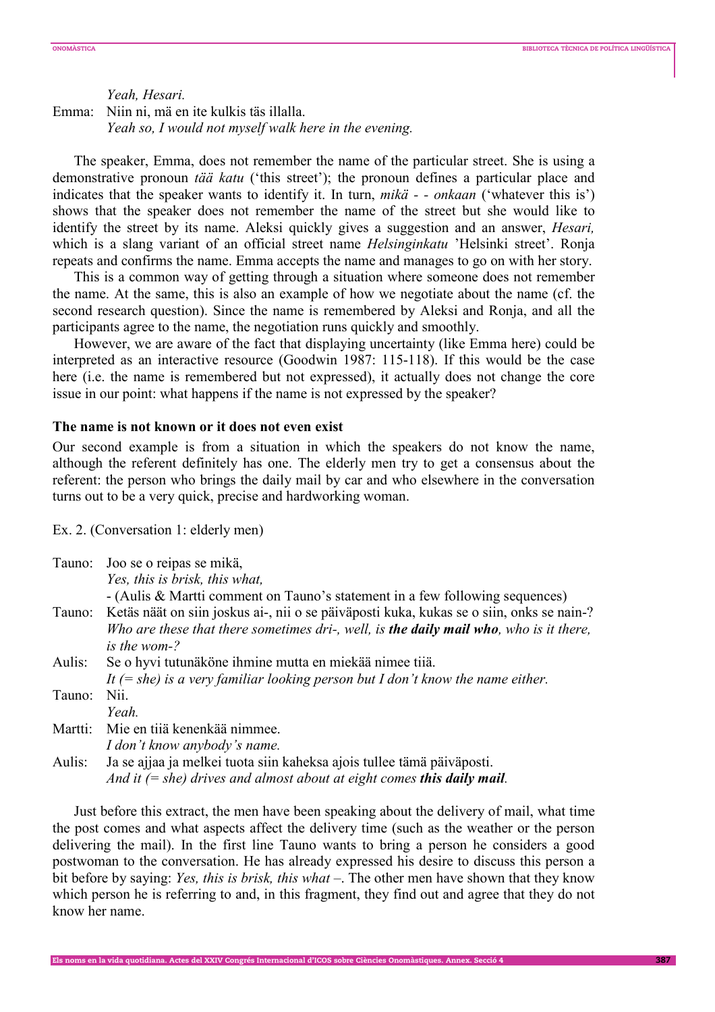*Yeah, Hesari.*  Emma: Niin ni, mä en ite kulkis täs illalla. *Yeah so, I would not myself walk here in the evening.*

The speaker, Emma, does not remember the name of the particular street. She is using a demonstrative pronoun *tää katu* ('this street'); the pronoun defines a particular place and indicates that the speaker wants to identify it. In turn, *mikä - - onkaan* ('whatever this is') shows that the speaker does not remember the name of the street but she would like to identify the street by its name. Aleksi quickly gives a suggestion and an answer, *Hesari,*  which is a slang variant of an official street name *Helsinginkatu* 'Helsinki street'. Ronja repeats and confirms the name. Emma accepts the name and manages to go on with her story.

This is a common way of getting through a situation where someone does not remember the name. At the same, this is also an example of how we negotiate about the name (cf. the second research question). Since the name is remembered by Aleksi and Ronja, and all the participants agree to the name, the negotiation runs quickly and smoothly.

However, we are aware of the fact that displaying uncertainty (like Emma here) could be interpreted as an interactive resource (Goodwin 1987: 115-118). If this would be the case here (i.e. the name is remembered but not expressed), it actually does not change the core issue in our point: what happens if the name is not expressed by the speaker?

# **The name is not known or it does not even exist**

Our second example is from a situation in which the speakers do not know the name, although the referent definitely has one. The elderly men try to get a consensus about the referent: the person who brings the daily mail by car and who elsewhere in the conversation turns out to be a very quick, precise and hardworking woman.

Ex. 2. (Conversation 1: elderly men)

|         | Tauno: Joo se o reipas se mikä,<br>Yes, this is brisk, this what,<br>- (Aulis & Martti comment on Tauno's statement in a few following sequences)                                                                 |
|---------|-------------------------------------------------------------------------------------------------------------------------------------------------------------------------------------------------------------------|
|         | Tauno: Ketäs näät on siin joskus ai-, nii o se päiväposti kuka, kukas se o siin, onks se nain-?<br>Who are these that there sometimes dri-, well, is <b>the daily mail who</b> , who is it there,<br>is the wom-? |
| Aulis:  | Se o hyvi tutunäköne ihmine mutta en miekää nimee tiiä.                                                                                                                                                           |
|         | It $(= she)$ is a very familiar looking person but I don't know the name either.                                                                                                                                  |
| Tauno:  | Nii.                                                                                                                                                                                                              |
|         | Yeah.                                                                                                                                                                                                             |
| Martti: | Mie en tijä kenenkää nimmee.                                                                                                                                                                                      |
|         | I don't know anybody's name.                                                                                                                                                                                      |
| Aulis:  | Ja se ajjaa ja melkei tuota siin kaheksa ajois tullee tämä päiväposti.                                                                                                                                            |
|         | And it $(= she)$ drives and almost about at eight comes this daily mail.                                                                                                                                          |

Just before this extract, the men have been speaking about the delivery of mail, what time the post comes and what aspects affect the delivery time (such as the weather or the person delivering the mail). In the first line Tauno wants to bring a person he considers a good postwoman to the conversation. He has already expressed his desire to discuss this person a bit before by saying: *Yes, this is brisk, this what –*. The other men have shown that they know which person he is referring to and, in this fragment, they find out and agree that they do not know her name.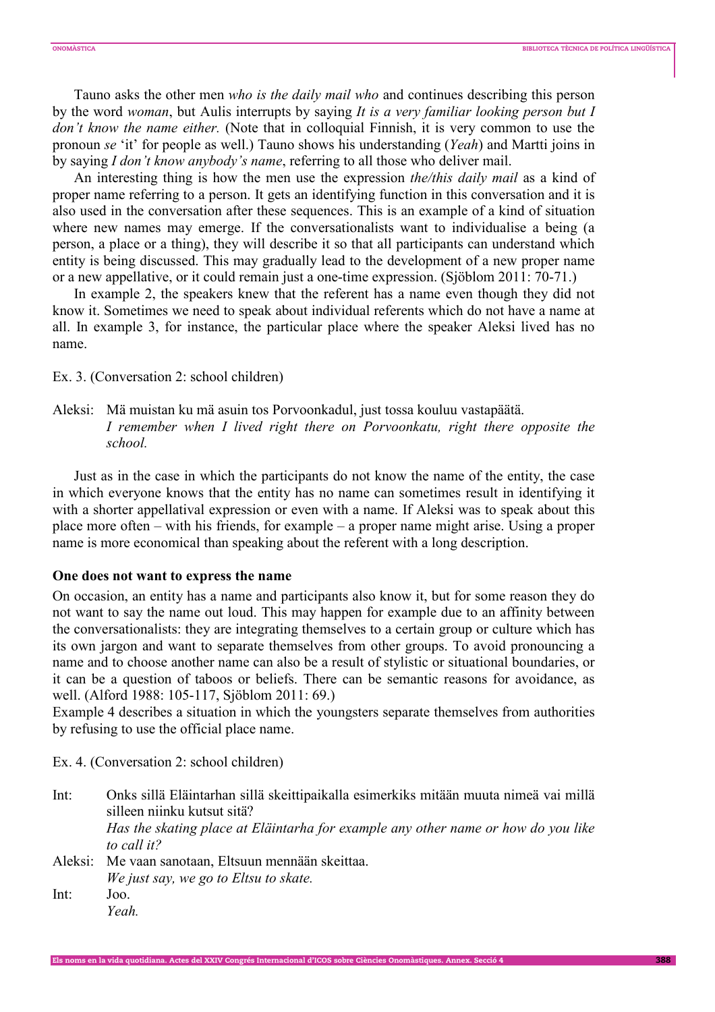Tauno asks the other men *who is the daily mail who* and continues describing this person by the word *woman*, but Aulis interrupts by saying *It is a very familiar looking person but I don't know the name either.* (Note that in colloquial Finnish, it is very common to use the pronoun *se* 'it' for people as well.) Tauno shows his understanding (*Yeah*) and Martti joins in by saying *I don't know anybody's name*, referring to all those who deliver mail.

An interesting thing is how the men use the expression *the/this daily mail* as a kind of proper name referring to a person. It gets an identifying function in this conversation and it is also used in the conversation after these sequences. This is an example of a kind of situation where new names may emerge. If the conversationalists want to individualise a being (a person, a place or a thing), they will describe it so that all participants can understand which entity is being discussed. This may gradually lead to the development of a new proper name or a new appellative, or it could remain just a one-time expression. (Sjöblom 2011: 70-71.)

In example 2, the speakers knew that the referent has a name even though they did not know it. Sometimes we need to speak about individual referents which do not have a name at all. In example 3, for instance, the particular place where the speaker Aleksi lived has no name.

Ex. 3. (Conversation 2: school children)

Aleksi: Mä muistan ku mä asuin tos Porvoonkadul, just tossa kouluu vastapäätä.  *I remember when I lived right there on Porvoonkatu, right there opposite the school.*

Just as in the case in which the participants do not know the name of the entity, the case in which everyone knows that the entity has no name can sometimes result in identifying it with a shorter appellatival expression or even with a name. If Aleksi was to speak about this place more often – with his friends, for example – a proper name might arise. Using a proper name is more economical than speaking about the referent with a long description.

# **One does not want to express the name**

On occasion, an entity has a name and participants also know it, but for some reason they do not want to say the name out loud. This may happen for example due to an affinity between the conversationalists: they are integrating themselves to a certain group or culture which has its own jargon and want to separate themselves from other groups. To avoid pronouncing a name and to choose another name can also be a result of stylistic or situational boundaries, or it can be a question of taboos or beliefs. There can be semantic reasons for avoidance, as well. (Alford 1988: 105-117, Sjöblom 2011: 69.)

Example 4 describes a situation in which the youngsters separate themselves from authorities by refusing to use the official place name.

Ex. 4. (Conversation 2: school children)

Int: Onks sillä Eläintarhan sillä skeittipaikalla esimerkiks mitään muuta nimeä vai millä silleen niinku kutsut sitä? *Has the skating place at Eläintarha for example any other name or how do you like to call it?* Aleksi: Me vaan sanotaan, Eltsuun mennään skeittaa.  *We just say, we go to Eltsu to skate.*  Int: Joo.  *Yeah.*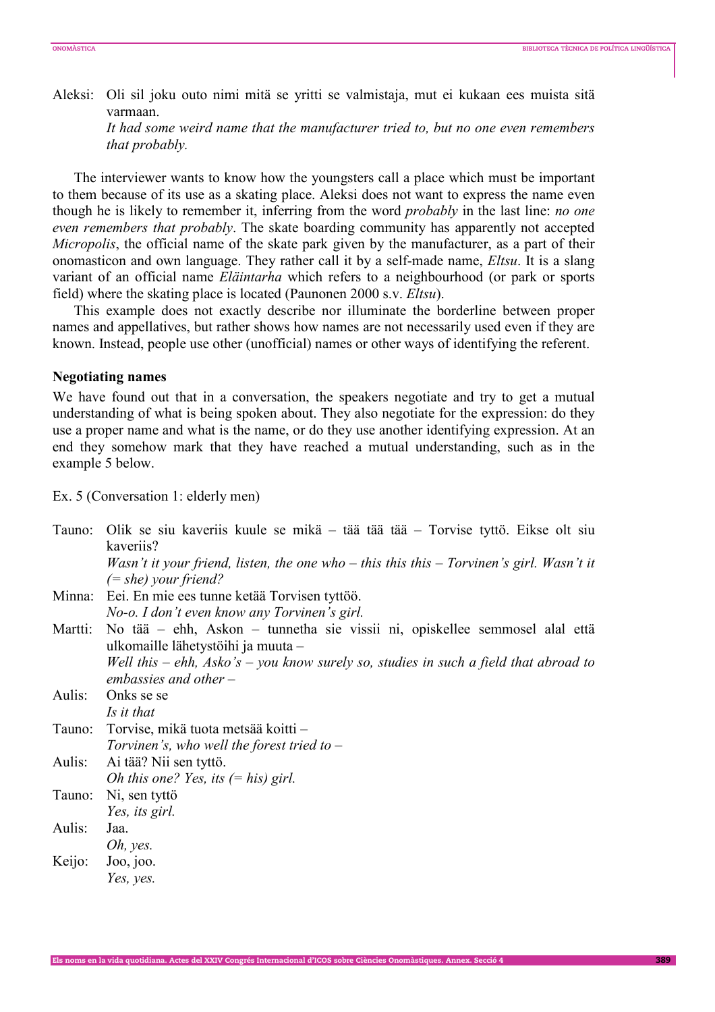Aleksi: Oli sil joku outo nimi mitä se yritti se valmistaja, mut ei kukaan ees muista sitä varmaan.

 *It had some weird name that the manufacturer tried to, but no one even remembers that probably.* 

The interviewer wants to know how the youngsters call a place which must be important to them because of its use as a skating place. Aleksi does not want to express the name even though he is likely to remember it, inferring from the word *probably* in the last line: *no one even remembers that probably*. The skate boarding community has apparently not accepted *Micropolis*, the official name of the skate park given by the manufacturer, as a part of their onomasticon and own language. They rather call it by a self-made name, *Eltsu*. It is a slang variant of an official name *Eläintarha* which refers to a neighbourhood (or park or sports field) where the skating place is located (Paunonen 2000 s.v. *Eltsu*).

This example does not exactly describe nor illuminate the borderline between proper names and appellatives, but rather shows how names are not necessarily used even if they are known. Instead, people use other (unofficial) names or other ways of identifying the referent.

#### **Negotiating names**

We have found out that in a conversation, the speakers negotiate and try to get a mutual understanding of what is being spoken about. They also negotiate for the expression: do they use a proper name and what is the name, or do they use another identifying expression. At an end they somehow mark that they have reached a mutual understanding, such as in the example 5 below.

Ex. 5 (Conversation 1: elderly men)

| Tauno:  | Olik se siu kaveriis kuule se mikä – tää tää tää – Torvise tyttö. Eikse olt siu          |
|---------|------------------------------------------------------------------------------------------|
|         | kaveriis?                                                                                |
|         | Wasn't it your friend, listen, the one who – this this this – Torvinen's girl. Wasn't it |
|         | $(= she)$ your friend?                                                                   |
|         | Minna: Eei. En mie ees tunne ketää Torvisen tyttöö.                                      |
|         | No-o. I don't even know any Torvinen's girl.                                             |
| Martti: | No tää – ehh, Askon – tunnetha sie vissii ni, opiskellee semmosel alal että              |
|         | ulkomaille lähetystöihi ja muuta –                                                       |
|         | Well this – ehh, Asko's – you know surely so, studies in such a field that abroad to     |
|         | embassies and other $-$                                                                  |
| Aulis:  | Onks se se                                                                               |
|         | Is it that                                                                               |
| Tauno:  | Torvise, mikä tuota metsää koitti –                                                      |
|         | Torvinen's, who well the forest tried to $-$                                             |
| Aulis:  | Ai tää? Nii sen tyttö.                                                                   |
|         | <i>Oh this one? Yes, its <math>(= his)</math> girl.</i>                                  |
| Tauno:  | Ni, sen tyttö                                                                            |
|         | Yes, its girl.                                                                           |
| Aulis:  | Jaa.                                                                                     |
|         | Oh, yes.                                                                                 |
| Keijo:  | Joo, joo.                                                                                |
|         | Yes, yes.                                                                                |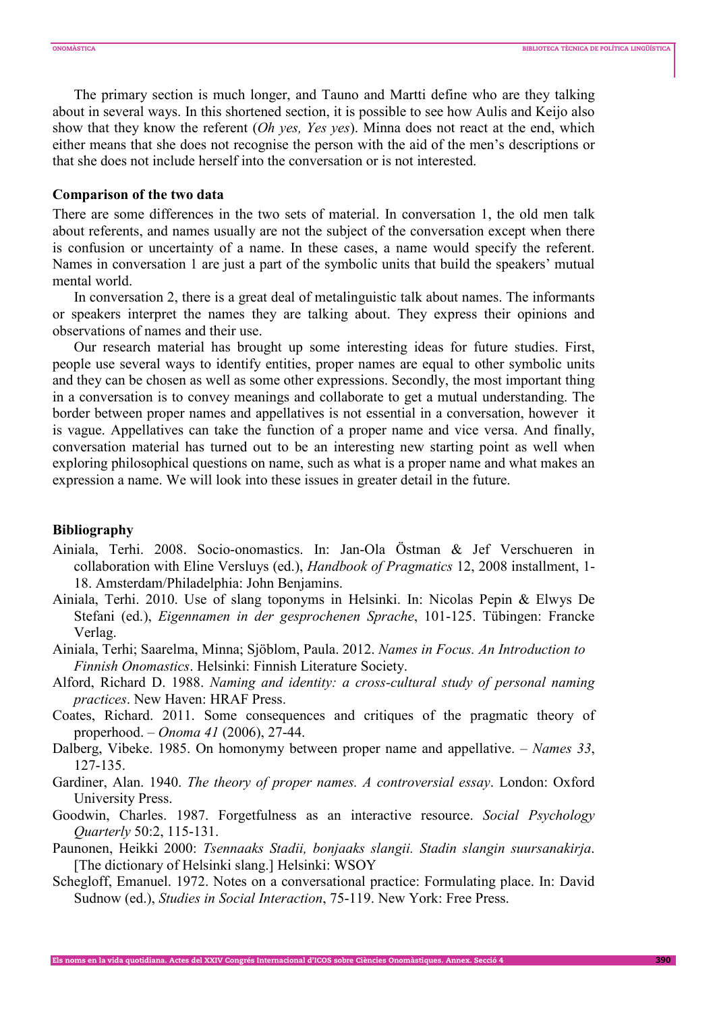The primary section is much longer, and Tauno and Martti define who are they talking about in several ways. In this shortened section, it is possible to see how Aulis and Keijo also show that they know the referent (*Oh yes, Yes yes*). Minna does not react at the end, which either means that she does not recognise the person with the aid of the men's descriptions or that she does not include herself into the conversation or is not interested.

### **Comparison of the two data**

There are some differences in the two sets of material. In conversation 1, the old men talk about referents, and names usually are not the subject of the conversation except when there is confusion or uncertainty of a name. In these cases, a name would specify the referent. Names in conversation 1 are just a part of the symbolic units that build the speakers' mutual mental world.

In conversation 2, there is a great deal of metalinguistic talk about names. The informants or speakers interpret the names they are talking about. They express their opinions and observations of names and their use.

Our research material has brought up some interesting ideas for future studies. First, people use several ways to identify entities, proper names are equal to other symbolic units and they can be chosen as well as some other expressions. Secondly, the most important thing in a conversation is to convey meanings and collaborate to get a mutual understanding. The border between proper names and appellatives is not essential in a conversation, however it is vague. Appellatives can take the function of a proper name and vice versa. And finally, conversation material has turned out to be an interesting new starting point as well when exploring philosophical questions on name, such as what is a proper name and what makes an expression a name. We will look into these issues in greater detail in the future.

#### **Bibliography**

- Ainiala, Terhi. 2008. Socio-onomastics. In: Jan-Ola Östman & Jef Verschueren in collaboration with Eline Versluys (ed.), *Handbook of Pragmatics* 12, 2008 installment, 1- 18. Amsterdam/Philadelphia: John Benjamins.
- Ainiala, Terhi. 2010. Use of slang toponyms in Helsinki. In: Nicolas Pepin & Elwys De Stefani (ed.), *Eigennamen in der gesprochenen Sprache*, 101-125. Tübingen: Francke Verlag.
- Ainiala, Terhi; Saarelma, Minna; Sjöblom, Paula. 2012. *Names in Focus. An Introduction to Finnish Onomastics*. Helsinki: Finnish Literature Society.
- Alford, Richard D. 1988. *Naming and identity: a cross-cultural study of personal naming practices*. New Haven: HRAF Press.
- Coates, Richard. 2011. Some consequences and critiques of the pragmatic theory of properhood. – *Onoma 41* (2006), 27-44.
- Dalberg, Vibeke. 1985. On homonymy between proper name and appellative. *Names 33*, 127-135.
- Gardiner, Alan. 1940. *The theory of proper names. A controversial essay*. London: Oxford University Press.
- Goodwin, Charles. 1987. Forgetfulness as an interactive resource. *Social Psychology Quarterly* 50:2, 115-131.
- Paunonen, Heikki 2000: *Tsennaaks Stadii, bonjaaks slangii. Stadin slangin suursanakirja*. [The dictionary of Helsinki slang.] Helsinki: WSOY
- Schegloff, Emanuel. 1972. Notes on a conversational practice: Formulating place. In: David Sudnow (ed.), *Studies in Social Interaction*, 75-119. New York: Free Press.